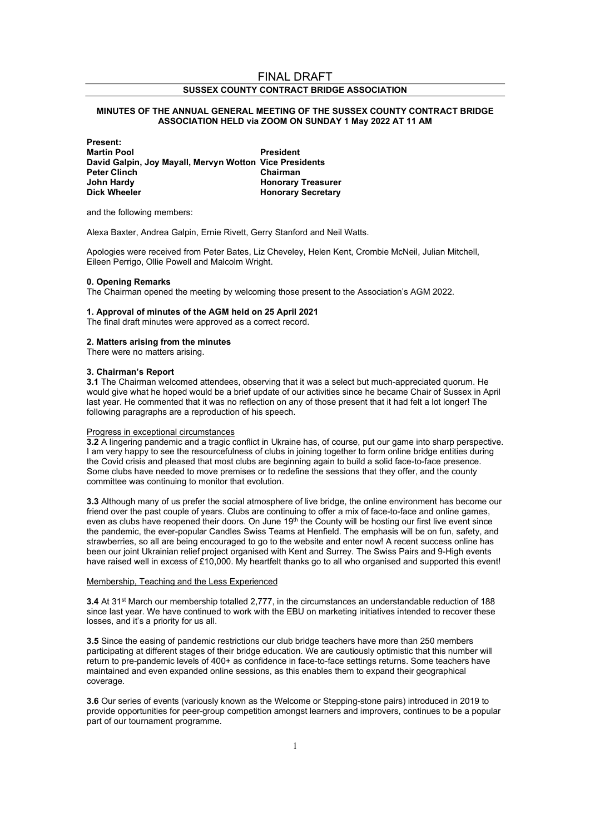# FINAL DRAFT SUSSEX COUNTY CONTRACT BRIDGE ASSOCIATION

## MINUTES OF THE ANNUAL GENERAL MEETING OF THE SUSSEX COUNTY CONTRACT BRIDGE ASSOCIATION HELD via ZOOM ON SUNDAY 1 May 2022 AT 11 AM

Present: Martin Pool **President** David Galpin, Joy Mayall, Mervyn Wotton Vice Presidents Peter Clinch Chairman<br>
John Hardy Chairman<br>
Honorary John Hardy **Honorary Treasurer**<br>Dick Wheeler **Honorary Secretary** Honorary Secretary

and the following members:

Alexa Baxter, Andrea Galpin, Ernie Rivett, Gerry Stanford and Neil Watts.

Apologies were received from Peter Bates, Liz Cheveley, Helen Kent, Crombie McNeil, Julian Mitchell, Eileen Perrigo, Ollie Powell and Malcolm Wright.

### 0. Opening Remarks

The Chairman opened the meeting by welcoming those present to the Association's AGM 2022.

#### 1. Approval of minutes of the AGM held on 25 April 2021

The final draft minutes were approved as a correct record.

#### 2. Matters arising from the minutes

There were no matters arising.

#### 3. Chairman's Report

3.1 The Chairman welcomed attendees, observing that it was a select but much-appreciated quorum. He would give what he hoped would be a brief update of our activities since he became Chair of Sussex in April last year. He commented that it was no reflection on any of those present that it had felt a lot longer! The following paragraphs are a reproduction of his speech.

#### Progress in exceptional circumstances

3.2 A lingering pandemic and a tragic conflict in Ukraine has, of course, put our game into sharp perspective. I am very happy to see the resourcefulness of clubs in joining together to form online bridge entities during the Covid crisis and pleased that most clubs are beginning again to build a solid face-to-face presence. Some clubs have needed to move premises or to redefine the sessions that they offer, and the county committee was continuing to monitor that evolution.

3.3 Although many of us prefer the social atmosphere of live bridge, the online environment has become our friend over the past couple of years. Clubs are continuing to offer a mix of face-to-face and online games, even as clubs have reopened their doors. On June 19<sup>th</sup> the County will be hosting our first live event since the pandemic, the ever-popular Candles Swiss Teams at Henfield. The emphasis will be on fun, safety, and strawberries, so all are being encouraged to go to the website and enter now! A recent success online has been our joint Ukrainian relief project organised with Kent and Surrey. The Swiss Pairs and 9-High events have raised well in excess of £10,000. My heartfelt thanks go to all who organised and supported this event!

## Membership, Teaching and the Less Experienced

3.4 At 31<sup>st</sup> March our membership totalled 2,777, in the circumstances an understandable reduction of 188 since last year. We have continued to work with the EBU on marketing initiatives intended to recover these losses, and it's a priority for us all.

3.5 Since the easing of pandemic restrictions our club bridge teachers have more than 250 members participating at different stages of their bridge education. We are cautiously optimistic that this number will return to pre-pandemic levels of 400+ as confidence in face-to-face settings returns. Some teachers have maintained and even expanded online sessions, as this enables them to expand their geographical coverage.

3.6 Our series of events (variously known as the Welcome or Stepping-stone pairs) introduced in 2019 to provide opportunities for peer-group competition amongst learners and improvers, continues to be a popular part of our tournament programme.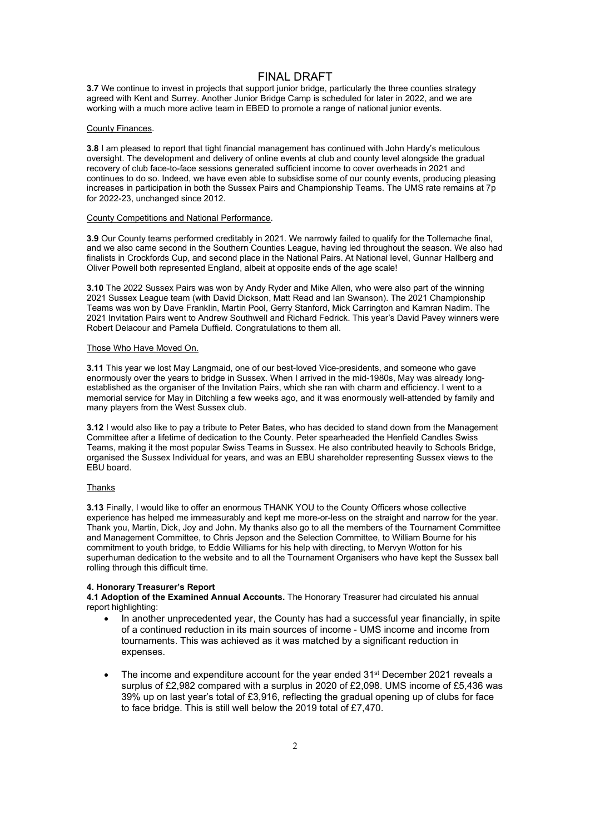## FINAL DRAFT

3.7 We continue to invest in projects that support junior bridge, particularly the three counties strategy agreed with Kent and Surrey. Another Junior Bridge Camp is scheduled for later in 2022, and we are working with a much more active team in EBED to promote a range of national junior events.

## County Finances.

3.8 I am pleased to report that tight financial management has continued with John Hardy's meticulous oversight. The development and delivery of online events at club and county level alongside the gradual recovery of club face-to-face sessions generated sufficient income to cover overheads in 2021 and continues to do so. Indeed, we have even able to subsidise some of our county events, producing pleasing increases in participation in both the Sussex Pairs and Championship Teams. The UMS rate remains at 7p for 2022-23, unchanged since 2012.

#### County Competitions and National Performance.

3.9 Our County teams performed creditably in 2021. We narrowly failed to qualify for the Tollemache final, and we also came second in the Southern Counties League, having led throughout the season. We also had finalists in Crockfords Cup, and second place in the National Pairs. At National level, Gunnar Hallberg and Oliver Powell both represented England, albeit at opposite ends of the age scale!

3.10 The 2022 Sussex Pairs was won by Andy Ryder and Mike Allen, who were also part of the winning 2021 Sussex League team (with David Dickson, Matt Read and Ian Swanson). The 2021 Championship Teams was won by Dave Franklin, Martin Pool, Gerry Stanford, Mick Carrington and Kamran Nadim. The 2021 Invitation Pairs went to Andrew Southwell and Richard Fedrick. This year's David Pavey winners were Robert Delacour and Pamela Duffield. Congratulations to them all.

### Those Who Have Moved On.

3.11 This year we lost May Langmaid, one of our best-loved Vice-presidents, and someone who gave enormously over the years to bridge in Sussex. When I arrived in the mid-1980s, May was already longestablished as the organiser of the Invitation Pairs, which she ran with charm and efficiency. I went to a memorial service for May in Ditchling a few weeks ago, and it was enormously well-attended by family and many players from the West Sussex club.

3.12 I would also like to pay a tribute to Peter Bates, who has decided to stand down from the Management Committee after a lifetime of dedication to the County. Peter spearheaded the Henfield Candles Swiss Teams, making it the most popular Swiss Teams in Sussex. He also contributed heavily to Schools Bridge, organised the Sussex Individual for years, and was an EBU shareholder representing Sussex views to the EBU board.

#### Thanks

3.13 Finally, I would like to offer an enormous THANK YOU to the County Officers whose collective experience has helped me immeasurably and kept me more-or-less on the straight and narrow for the year. Thank you, Martin, Dick, Joy and John. My thanks also go to all the members of the Tournament Committee and Management Committee, to Chris Jepson and the Selection Committee, to William Bourne for his commitment to youth bridge, to Eddie Williams for his help with directing, to Mervyn Wotton for his superhuman dedication to the website and to all the Tournament Organisers who have kept the Sussex ball rolling through this difficult time.

#### 4. Honorary Treasurer's Report

4.1 Adoption of the Examined Annual Accounts. The Honorary Treasurer had circulated his annual report highlighting:

- In another unprecedented year, the County has had a successful year financially, in spite of a continued reduction in its main sources of income - UMS income and income from tournaments. This was achieved as it was matched by a significant reduction in expenses.
- The income and expenditure account for the year ended 31<sup>st</sup> December 2021 reveals a surplus of £2,982 compared with a surplus in 2020 of £2,098. UMS income of £5,436 was 39% up on last year's total of £3,916, reflecting the gradual opening up of clubs for face to face bridge. This is still well below the 2019 total of £7,470.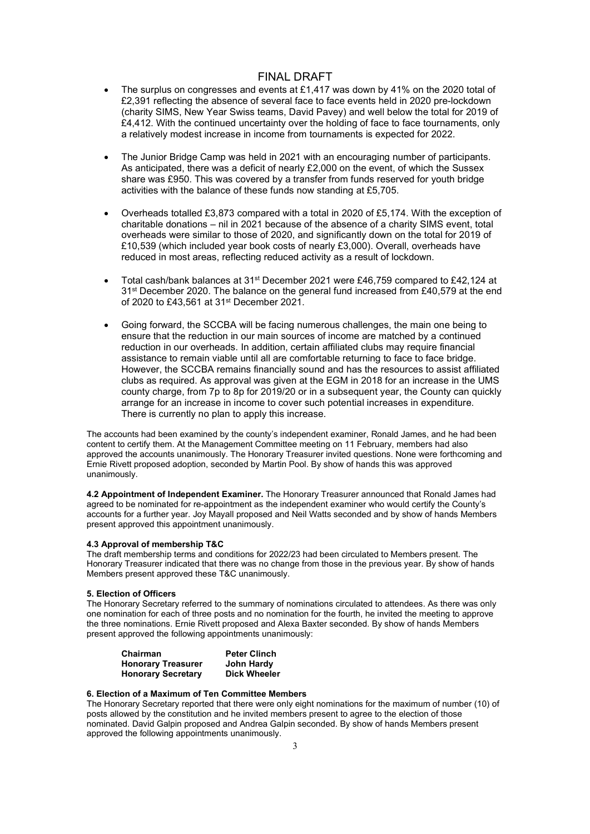# FINAL DRAFT

- The surplus on congresses and events at £1,417 was down by 41% on the 2020 total of £2,391 reflecting the absence of several face to face events held in 2020 pre-lockdown (charity SIMS, New Year Swiss teams, David Pavey) and well below the total for 2019 of £4,412. With the continued uncertainty over the holding of face to face tournaments, only a relatively modest increase in income from tournaments is expected for 2022.
- The Junior Bridge Camp was held in 2021 with an encouraging number of participants. As anticipated, there was a deficit of nearly £2,000 on the event, of which the Sussex share was £950. This was covered by a transfer from funds reserved for youth bridge activities with the balance of these funds now standing at £5,705.
- Overheads totalled £3,873 compared with a total in 2020 of £5,174. With the exception of charitable donations – nil in 2021 because of the absence of a charity SIMS event, total overheads were similar to those of 2020, and significantly down on the total for 2019 of £10,539 (which included year book costs of nearly £3,000). Overall, overheads have reduced in most areas, reflecting reduced activity as a result of lockdown.
- Total cash/bank balances at 31st December 2021 were £46,759 compared to £42,124 at 31st December 2020. The balance on the general fund increased from £40,579 at the end of 2020 to £43,561 at 31st December 2021.
- Going forward, the SCCBA will be facing numerous challenges, the main one being to ensure that the reduction in our main sources of income are matched by a continued reduction in our overheads. In addition, certain affiliated clubs may require financial assistance to remain viable until all are comfortable returning to face to face bridge. However, the SCCBA remains financially sound and has the resources to assist affiliated clubs as required. As approval was given at the EGM in 2018 for an increase in the UMS county charge, from 7p to 8p for 2019/20 or in a subsequent year, the County can quickly arrange for an increase in income to cover such potential increases in expenditure. There is currently no plan to apply this increase.

The accounts had been examined by the county's independent examiner, Ronald James, and he had been content to certify them. At the Management Committee meeting on 11 February, members had also approved the accounts unanimously. The Honorary Treasurer invited questions. None were forthcoming and Ernie Rivett proposed adoption, seconded by Martin Pool. By show of hands this was approved unanimously.

4.2 Appointment of Independent Examiner. The Honorary Treasurer announced that Ronald James had agreed to be nominated for re-appointment as the independent examiner who would certify the County's accounts for a further year. Joy Mayall proposed and Neil Watts seconded and by show of hands Members present approved this appointment unanimously.

#### 4.3 Approval of membership T&C

The draft membership terms and conditions for 2022/23 had been circulated to Members present. The Honorary Treasurer indicated that there was no change from those in the previous year. By show of hands Members present approved these T&C unanimously.

### 5. Election of Officers

The Honorary Secretary referred to the summary of nominations circulated to attendees. As there was only one nomination for each of three posts and no nomination for the fourth, he invited the meeting to approve the three nominations. Ernie Rivett proposed and Alexa Baxter seconded. By show of hands Members present approved the following appointments unanimously:

| Chairman                  | <b>Peter Clinch</b> |
|---------------------------|---------------------|
| <b>Honorary Treasurer</b> | John Hardy          |
| <b>Honorary Secretary</b> | <b>Dick Wheeler</b> |

## 6. Election of a Maximum of Ten Committee Members

The Honorary Secretary reported that there were only eight nominations for the maximum of number (10) of posts allowed by the constitution and he invited members present to agree to the election of those nominated. David Galpin proposed and Andrea Galpin seconded. By show of hands Members present approved the following appointments unanimously.